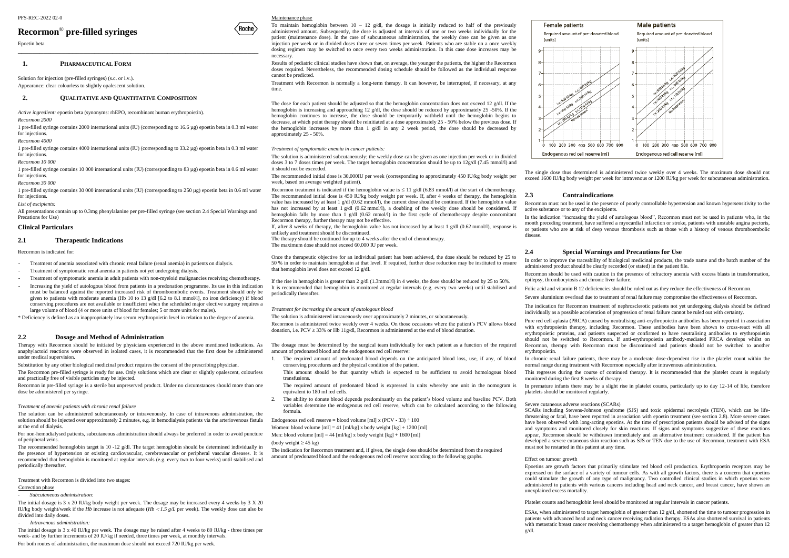## **Recormon**® **pre-filled syringes**

Epoetin beta

\_\_\_\_\_\_\_\_\_\_\_\_\_\_\_\_\_\_\_\_\_\_\_\_\_\_\_\_\_\_\_\_\_\_\_\_\_\_\_\_\_\_\_\_\_\_\_\_\_\_\_\_\_\_\_\_\_\_\_\_\_\_\_\_\_\_

#### **1. PHARMACEUTICAL FORM**

Solution for injection (pre-filled syringes) (s.c. or i.v.). Appearance: clear colourless to slightly opalescent solution.

#### **2. QUALITATIVE AND QUANTITATIVE COMPOSITION**

*Active ingredient:* epoetin beta (synonyms: rhEPO, recombinant human erythropoietin).

*Recormon 2000*

1 pre-filled syringe contains 2000 international units (IU) (corresponding to 16.6 µg) epoetin beta in 0.3 ml water for injections.

*Recormon 4000*

1 pre-filled syringe contains 4000 international units (IU) (corresponding to 33.2 µg) epoetin beta in 0.3 ml water for injections.

*Recormon 10 000*

1 pre-filled syringe contains 10 000 international units (IU) (corresponding to 83 µg) epoetin beta in 0.6 ml water for injections.

*Recormon 30 000*

1 pre-filled syringe contains 30 000 international units (IU) (corresponding to 250 µg) epoetin beta in 0.6 ml water for injections.

*List of excipients:*

- Treatment of anemia associated with chronic renal failure (renal anemia) in patients on dialysis.
- Treatment of symptomatic renal anemia in patients not yet undergoing dialysis.
- Treatment of symptomatic anemia in adult patients with non-myeloid malignancies receiving chemotherapy.
- Increasing the yield of autologous blood from patients in a predonation programme. Its use in this indication must be balanced against the reported increased risk of thromboembolic events. Treatment should only be given to patients with moderate anemia (Hb 10 to 13 g/dl  $[6.2$  to 8.1 mmol/l], no iron deficiency) if blood conserving procedures are not available or insufficient when the scheduled major elective surgery requires a large volume of blood (4 or more units of blood for females; 5 or more units for males).
- \* Deficiency is defined as an inappropriately low serum erythropoietin level in relation to the degree of anemia.

All presentations contain up to 0.3mg phenylalanine per pre-filled syringe (see section 2.4 Special Warnings and Precations for Use)

#### **Clinical Particulars**

#### **2.1 Therapeutic Indications**

Recormon is indicated for:

The initial dosage is  $3 \times 20$  IU/kg body weight per week. The dosage may be increased every 4 weeks by  $3 \times 20$ IU/kg body weight/week if the *Hb* increase is not adequate (*Hb 1.5 g/L* per week). The weekly dose can also be divided into daily doses.

#### **2.2 Dosage and Method of Administration**

Therapy with Recormon should be initiated by physicians experienced in the above mentioned indications. As anaphylactoid reactions were observed in isolated cases, it is recommended that the first dose be administered under medical supervision.

To maintain hemoglobin between  $10 - 12$  g/dl, the dosage is initially reduced to half of the previously administered amount. Subsequently, the dose is adjusted at intervals of one or two weeks individually for the patient (maintenance dose). In the case of subcutaneous administration, the weekly dose can be given as one injection per week or in divided doses three or seven times per week. Patients who are stable on a once weekly dosing regimen may be switched to once every two weeks administration. In this case dose increases may be necessary.

Substitution by any other biological medicinal product requires the consent of the prescribing physician.

The Recormon pre-filled syringe is ready for use. Only solutions which are clear or slightly opalescent, colourless and practically free of visible particles may be injected.

Recormon in pre-filled syringe is a sterile but unpreserved product. Under no circumstances should more than one dose be administered per syringe.

#### *Treatment of anemic patients with chronic renal failure*

The solution can be administered subcutaneously or intravenously. In case of intravenous administration, the solution should be injected over approximately 2 minutes, e.g. in hemodialysis patients via the arteriovenous fistula at the end of dialysis.

For non-hemodialysed patients, subcutaneous administration should always be preferred in order to avoid puncture of peripheral veins.

Recormon treatment is indicated if the hemoglobin value is  $\leq 11$  g/dl (6.83 mmol/l) at the start of chemotherapy. The recommended initial dose is 450 IU/kg body weight per week. If, after 4 weeks of therapy, the hemoglobin value has increased by at least 1 g/dl (0.62 mmol/l), the current dose should be continued. If the hemoglobin value has not increased by at least 1 g/dl (0.62 mmol/l), a doubling of the weekly dose should be considered. If hemoglobin falls by more than 1 g/dl (0.62 mmol/l) in the first cycle of chemotherapy despite concomitant Recormon therapy, further therapy may not be effective.

The recommended hemoglobin target is 10 -12 g/dl. The target hemoglobin should be determined individually in the presence of hypertension or existing cardiovascular, cerebrovascular or peripheral vascular diseases. It is recommended that hemoglobin is monitored at regular intervals (e.g. every two to four weeks) until stabilised and periodically thereafter.

If, after 8 weeks of therapy, the hemoglobin value has not increased by at least  $1 \text{ g/d}$  (0.62 mmol/l), response is unlikely and treatment should be discontinued.

#### Treatment with Recormon is divided into two stages:

#### Correction phase

- *Subcutaneous administration*:

If the rise in hemoglobin is greater than 2 g/dl  $(1.3$ mmol/l) in 4 weeks, the dose should be reduced by 25 to 50%. It is recommended that hemoglobin is monitored at regular intervals (e.g. every two weeks) until stabilised and periodically thereafter.

Recormon is administered twice weekly over 4 weeks. On those occasions where the patient's PCV allows blood donation, i.e.  $PCV \ge 33\%$  or Hb 11g/dl, Recormon is administered at the end of blood donation.

- *Intravenous administration:* 

The initial dosage is 3 x 40 IU/kg per week. The dosage may be raised after 4 weeks to 80 IU/kg - three times per week- and by further increments of 20 IU/kg if needed, three times per week, at monthly intervals. For both routes of administration, the maximum dose should not exceed 720 IU/kg per week.



 $\langle$  Roche $\rangle$ 

Results of pediatric clinical studies have shown that, on average, the younger the patients, the higher the Recormon doses required. Nevertheless, the recommended dosing schedule should be followed as the individual response cannot be predicted.

Treatment with Recormon is normally a long-term therapy. It can however, be interrupted, if necessary, at any time.

The dose for each patient should be adjusted so that the hemoglobin concentration does not exceed 12 g/dl. If the hemoglobin is increasing and approaching 12 g/dl, the dose should be reduced by approximately 25 -50%. If the hemoglobin continues to increase, the dose should be temporarily withheld until the hemoglobin begins to decrease, at which point therapy should be reinitiated at a dose approximately 25 - 50% below the previous dose. If the hemoglobin increases by more than  $1 \frac{g}{dl}$  in any 2 week period, the dose should be decreased by approximately 25 - 50%.

#### *Treatment of symptomatic anemia in cancer patients:*

The solution is administered subcutaneously; the weekly dose can be given as one injection per week or in divided doses 3 to 7 doses times per week. The target hemoglobin concentration should be up to 12g/dl (7.45 mmol/l) and it should not be exceeded.

The recommended initial dose is 30,000IU per week (corresponding to approximately 450 IU/kg body weight per week, based on average weighted patient).

> ESAs, when administered to target hemoglobin of greater than 12 g/dl, shortened the time to tumour progression in patients with advanced head and neck cancer receiving radiation therapy. ESAs also shortened survival in patients with metastatic breast cancer receiving chemotherapy when administered to a target hemoglobin of greater than 12

The therapy should be continued for up to 4 weeks after the end of chemotherapy.

The maximum dose should not exceed 60,000 IU per week.

Once the therapeutic objective for an individual patient has been achieved, the dose should be reduced by 25 to 50 % in order to maintain hemoglobin at that level. If required, further dose reduction may be instituted to ensure that hemoglobin level does not exceed 12 g/dl.

#### *Treatment for increasing the amount of autologous blood*

The solution is administered intravenously over approximately 2 minutes, or subcutaneously.

The dosage must be determined by the surgical team individually for each patient as a function of the required amount of predonated blood and the endogenous red cell reserve:

- 1. The required amount of predonated blood depends on the anticipated blood loss, use, if any, of blood conserving procedures and the physical condition of the patient.
- This amount should be that quantity which is expected to be sufficient to avoid homologous blood transfusions.
- The required amount of predonated blood is expressed in units whereby one unit in the nomogram is equivalent to 180 ml red cells.
- 2. The ability to donate blood depends predominantly on the patient's blood volume and baseline PCV. Both variables determine the endogenous red cell reserve, which can be calculated according to the following formula.

Endogenous red cell reserve = blood volume [ml]  $x (PCV - 33) \div 100$ 

Women: blood volume  $[m] = 41$   $[m]/kg]$  x body weight  $[kg] + 1200$   $[m]$ 

Men: blood volume  $[m] = 44$   $[m]/kg]$  x body weight  $[kg] + 1600$   $[m]$ 

(body weight  $\geq 45$  kg)

The indication for Recormon treatment and, if given, the single dose should be determined from the required amount of predonated blood and the endogenous red cell reserve according to the following graphs.

Female patients **funits1** 



The single dose thus determined is administered twice weekly over 4 weeks. The maximum dose should not

exceed 1600 IU/kg body weight per week for intravenous or 1200 IU/kg per week for subcutaneous administration.

#### **2.3 Contraindications**

Recormon must not be used in the presence of poorly controllable hypertension and known hypersensitivity to the active substance or to any of the excipients. In the indication "increasing the yield of autologous blood", Recormon must not be used in patients who, in the month preceding treatment, have suffered a myocardial infarction or stroke, patients with unstable angina pectoris, or patients who are at risk of deep venous thrombosis such as those with a history of venous thromboembolic disease.

#### **2.4 Special Warnings and Precautions for Use**

In order to improve the traceability of biological medicinal products, the trade name and the batch number of the administered product should be clearly recorded (or stated) in the patient file.

Recormon should be used with caution in the presence of refractory anemia with excess blasts in transformation,

epilepsy, thrombocytosis and chronic liver failure.

Folic acid and vitamin B 12 deficiencies should be ruled out as they reduce the effectiveness of Recormon.

Severe aluminium overload due to treatment of renal failure may compromise the effectiveness of Recormon.

The indication for Recormon treatment of nephrosclerotic patients not yet undergoing dialysis should be defined individually as a possible acceleration of progression of renal failure cannot be ruled out with certainty.

Pure red cell aplasia (PRCA) caused by neutralising anti-erythropoietin antibodies has been reported in association with erythropoietin therapy, including Recormon. These antibodies have been shown to cross-react with all erythropoietic proteins, and patients suspected or confirmed to have neutralising antibodies to erythropoietin should not be switched to Recormon. If anti-erythropoietin antibody-mediated PRCA develops whilst on Recormon, therapy with Recormon must be discontinued and patients should not be switched to another erythropoietin.

In chronic renal failure patients, there may be a moderate dose-dependent rise in the platelet count within the normal range during treatment with Recormon especially after intravenous administration.

This regresses during the course of continued therapy. It is recommended that the platelet count is regularly monitored during the first 8 weeks of therapy.

In premature infants there may be a slight rise in platelet counts, particularly up to day 12-14 of life, therefore platelets should be monitored regularly.

Severe cutaneous adverse reactions (SCARs) SCARs including Stevens-Johnson syndrome (SJS) and toxic epidermal necrolysis (TEN), which can be lifethreatening or fatal, have been reported in association with epoetin treatment (see section 2.8). More severe cases have been observed with long-acting epoetins. At the time of prescription patients should be advised of the signs and symptoms and monitored closely for skin reactions. If signs and symptoms suggestive of these reactions appear, Recormon should be withdrawn immediately and an alternative treatment considered. If the patient has developed a severe cutaneous skin reaction such as SJS or TEN due to the use of Recormon, treatment with ESA must not be restarted in this patient at any time.

#### Effect on tumour growth

Epoetins are growth factors that primarily stimulate red blood cell production. Erythropoetin receptors may be expressed on the surface of a variety of tumour cells. As with all growth factors, there is a concern that epoetins could stimulate the growth of any type of malignancy. Two controlled clinical studies in which epoetins were administered to patients with various cancers including head and neck cancer, and breast cancer, have shown an unexplained excess mortality.

Platelet counts and hemoglobin level should be monitored at regular intervals in cancer patients.

g/dl.

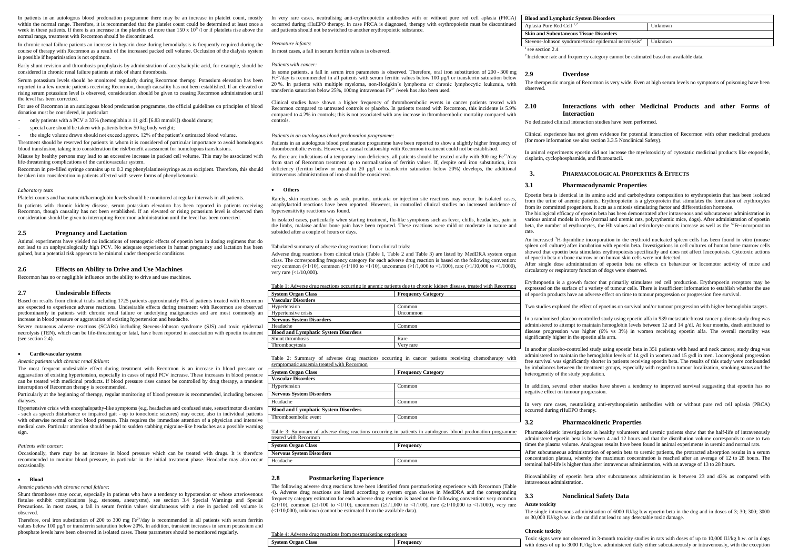In patients in an autologous blood predonation programme there may be an increase in platelet count, mostly within the normal range. Therefore, it is recommended that the platelet count could be determined at least once a week in these patients. If there is an increase in the platelets of more than  $150 \times 10^9$  /l or if platelets rise above the normal range, treatment with Recormon should be discontinued.

In chronic renal failure patients an increase in heparin dose during hemodialysis is frequently required during the course of therapy with Recormon as a result of the increased packed cell volume. Occlusion of the dialysis system is possible if heparinisation is not optimum.

Early shunt revision and thrombosis prophylaxis by administration of acetylsalicylic acid, for example, should be considered in chronic renal failure patients at risk of shunt thrombosis.

Serum potassium levels should be monitored regularly during Recormon therapy. Potassium elevation has been reported in a few uremic patients receiving Recormon, though causality has not been established. If an elevated or rising serum potassium level is observed, consideration should be given to ceasing Recormon administration until the level has been corrected.

For use of Recormon in an autologous blood predonation programme, the official guidelines on principles of blood donation must be considered, in particular:

- only patients with a PCV  $\geq$  33% (hemoglobin  $\geq$  11 g/dl [6.83 mmol/l]) should donate;

special care should be taken with patients below 50 kg body weight;

- the single volume drawn should not exceed approx. 12% of the patient's estimated blood volume. Treatment should be reserved for patients in whom it is considered of particular importance to avoid homologous

blood transfusion, taking into consideration the risk/benefit assessment for homologous transfusions. Misuse by healthy persons may lead to an excessive increase in packed cell volume. This may be associated with

life-threatening complications of the cardiovascular system.

Recormon in pre-filled syringe contains up to 0.3 mg phenylalanine/syringe as an excipient. Therefore, this should be taken into consideration in patients affected with severe forms of phenylketonuria.

#### *Laboratory tests*

Platelet counts and haematocrit/haemoglobin levels should be monitored at regular intervals in all patients. In patients with chronic kidney disease, serum potassium elevation has been reported in patients receiving Recormon, though causality has not been established. If an elevated or rising potassium level is observed then consideration should be given to interrupting Recormon administration until the level has been corrected.

#### **2.5 Pregnancy and Lactation**

Animal experiments have yielded no indications of teratogenic effects of epoetin beta in dosing regimens that do not lead to an unphysiologically high PCV. No adequate experience in human pregnancy and lactation has been gained, but a potential risk appears to be minimal under therapeutic conditions.

Therefore, oral iron substitution of 200 to 300 mg  $Fe<sup>2+</sup>/day$  is recommended in all patients with serum ferritin values below 100 µg/l or transferrin saturation below 20%. In addition, transient increases in serum potassium and phosphate levels have been observed in isolated cases. These parameters should be monitored regularly.

#### **2.6 Effects on Ability to Drive and Use Machines**

Recormon has no or negligible influence on the ability to drive and use machines.

In some patients, a fall in serum iron parameters is observed. Therefore, oral iron substitution of 200 - 300 mg  $Fe<sup>2+</sup>/day$  is recommended in all patients with serum ferritin values below 100 µg/l or transferrin saturation below 20 %. In patients with multiple myeloma, non-Hodgkin's lymphoma or chronic lymphocytic leukemia, with transferrin saturation below 25%, 100mg intravenous  $Fe^{3+}$  /week has also been used.

## **2.7 Undesirable Effects**

Based on results from clinical trials including 1725 patients approximately 8% of patients treated with Recormon are expected to experience adverse reactions. Undesirable effects during treatment with Recormon are observed predominantly in patients with chronic renal failure or underlying malignancies and are most commonly an increase in blood pressure or aggravation of existing hypertension and headache.

Severe cutaneous adverse reactions (SCARs) including Stevens-Johnson syndrome (SJS) and toxic epidermal necrolysis (TEN), which can be life-threatening or fatal, have been reported in association with epoetin treatment (see section 2.4).

As there are indications of a temporary iron deficiency, all patients should be treated orally with 300 mg  $Fe^{2+}/day$ from start of Recormon treatment up to normalisation of ferritin values. If, despite oral iron substitution, iron deficiency (ferritin below or equal to 20 µg/l or transferrin saturation below 20%) develops, the additional intravenous administration of iron should be considered.

#### **Cardiovascular system**

*Anemic patients with chronic renal failure*:

The most frequent undesirable effect during treatment with Recormon is an increase in blood pressure or aggravation of existing hypertension, especially in cases of rapid PCV increase. These increases in blood pressure can be treated with medicinal products. If blood pressure rises cannot be controlled by drug therapy, a transient interruption of Recormon therapy is recommended.

Adverse drug reactions from clinical trials (Table 1, Table 2 and Table 3) are listed by MedDRA system organ class. The corresponding frequency category for each adverse drug reaction is based on the following convention: very common (≥1/10), common (≥1/100 to <1/10), uncommon (≥1/1,000 to <1/100), rare (≥1/10,000 to <1/1000), very rare  $(<1/10,000)$ .

Particularly at the beginning of therapy, regular monitoring of blood pressure is recommended, including between dialyses.

Hypertensive crisis with encephalopathy-like symptoms (e.g. headaches and confused state, sensorimotor disorders - such as speech disturbance or impaired gait - up to tonoclonic seizures) may occur, also in individual patients with otherwise normal or low blood pressure. This requires the immediate attention of a physician and intensive medical care. Particular attention should be paid to sudden stabbing migraine-like headaches as a possible warning sign.

#### *Patients with cancer:*

Occasionally, there may be an increase in blood pressure which can be treated with drugs. It is therefore recommended to monitor blood pressure, in particular in the initial treatment phase. Headache may also occur occasionally.

#### **Blood**

#### *Anemic patients with chronic renal failure*:

Shunt thromboses may occur, especially in patients who have a tendency to hypotension or whose arteriovenous fistulae exhibit complications (e.g. stenoses, aneurysms), see section 3.4 Special Warnings and Special Precautions. In most cases, a fall in serum ferritin values simultaneous with a rise in packed cell volume is observed.

In very rare cases, neutralising anti-erythropoietin antibodies with or without pure red cell aplasia (PRCA) occurred during rHuEPO therapy. In case PRCA is diagnosed, therapy with erythropoietin must be discontinued and patients should not be switched to another erythropoietic substance.

#### *Premature infants*:

Erythropoetin is a growth factor that primarily stimulates red cell production. Erythropoetin receptors may be expressed on the surface of a variety of tumour cells. There is insufficient information to establish whether the use poetin products have an adverse effect on time to tumour progression or progression free survival.

studies explored the effect of epoetins on survival and/or tumour progression with higher hemoglobin targets.

randomised placebo-controlled study using epoetin alfa in 939 metastatic breast cancer patients study drug was inistered to attempt to maintain hemoglobin levels between 12 and 14  $g/dl$ . At four months, death attributed to ase progression was higher (6% vs 3%) in women receiving epoetin alfa. The overall mortality was ificantly higher in the epoetin alfa arm.

In most cases, a fall in serum ferritin values is observed.

#### *Patients with cancer:*

In another placebo-controlled study using epoetin beta in 351 patients with head and neck cancer, study drug was administered to maintain the hemoglobin levels of 14  $\alpha$ /dl in women and 15  $\alpha$ /dl in men. Locoregional progression free survival was significantly shorter in patients receiving epoetin beta. The results of this study were confounded by imbalances between the treatment groups, especially with regard to tumour localization, smoking status and the eity of the study population.

n, several other studies have shown a tendency to improved survival suggesting that epoetin has no ffect on tumour progression.

are cases, neutralising anti-erythropoietin antibodies with or without pure red cell aplasia (PRCA) during rHuEPO therapy.

Clinical studies have shown a higher frequency of thromboembolic events in cancer patients treated with Recormon compared to untreated controls or placebo. In patients treated with Recormon, this incidente is 5.9% compared to 4.2% in controls; this is not associated with any increase in thromboembolic mortality compared with controls.

> Pharmacokinetic investigations in healthy volunteers and uremic patients show that the half-life of intravenously administered epoetin beta is between 4 and 12 hours and that the distribution volume corresponds to one to two es the plasma volume. Analogous results have been found in animal experiments in uremic and normal rats. er subcutaneous administration of epoetin beta to uremic patients, the protracted absorption results in a serum centration plateau, whereby the maximum concentration is reached after an average of 12 to 28 hours. The hinal half-life is higher than after intravenous administration, with an average of 13 to 28 hours.

#### *Patients in an autologous blood predonation programme*:

Patients in an autologous blood predonation programme have been reported to show a slightly higher frequency of thromboembolic events. However, a causal relationship with Recormon treatment could not be established.

#### **Others**

Rarely, skin reactions such as rash, pruritus, urticaria or injection site reactions may occur. In isolated cases, anaphylactoid reactions have been reported. However, in controlled clinical studies no increased incidence of hypersensitivity reactions was found.

In isolated cases, particularly when starting treatment, flu-like symptoms such as fever, chills, headaches, pain in the limbs, malaise and/or bone pain have been reported. These reactions were mild or moderate in nature and subsided after a couple of hours or days.

#### Tabulated summary of adverse drug reactions from clinical trials:

Table 1: Adverse drug reactions occurring in anemic patients due to chronic kidney disease, treated with Recormon

| <b>System Organ Class</b>                   | <b>Frequency Category</b> | of ep |
|---------------------------------------------|---------------------------|-------|
| <b>Vascular Disorders</b>                   |                           |       |
| Hypertension                                | Common                    | Two   |
| Hypertensive crisis                         | Uncommon                  |       |
| <b>Nervous System Disorders</b>             |                           | In a  |
| Headache                                    | Common                    | admi  |
| <b>Blood and Lymphatic System Disorders</b> |                           | disea |
| Shunt thrombosis                            | Rare                      | signi |
| Thrombocytosis                              | Very rare                 |       |

Table 2: Summary of adverse drug reactions occurring in cancer patients receiving chemotherapy with symptomatic anaemia treated with Recormon

| <b>System Organ Class</b>                   | <b>Frequency Category</b> | heterogene     |
|---------------------------------------------|---------------------------|----------------|
| <b>Vascular Disorders</b>                   |                           |                |
| Hypertension                                | Common                    | In addition    |
| <b>Nervous System Disorders</b>             |                           | negative e     |
| Headache                                    | Common                    | In very ra     |
| <b>Blood and Lymphatic System Disorders</b> |                           |                |
| Thromboembolic event                        | Common                    | 3 <sub>2</sub> |
|                                             |                           |                |

Table 3: Summary of adverse drug reactions occurring in patients in autologous blood predonation programme treated with Recormon

| <b>System Organ Class</b>       | Frequency | tıme         |
|---------------------------------|-----------|--------------|
| <b>Nervous System Disorders</b> |           | Afte         |
| Headache                        | Common    | cono<br>tern |

#### **2.8 Postmarketing Experience**

The following adverse drug reactions have been identified from postmarketing experience with Recormon (Table 4). Adverse drug reactions are listed according to system organ classes in MedDRA and the corresponding frequency category estimation for each adverse drug reaction is based on the following convention: very common (≥1/10), common (≥1/100 to <1/10), uncommon (≥1/1,000 to <1/100), rare (≥1/10,000 to <1/1000), very rare (<1/10,000), unknown (cannot be estimated from the available data).

| Table 4: Adverse drug reactions from postmarketing experience |           |
|---------------------------------------------------------------|-----------|
| System Organ Class                                            | Frequency |

**Blood and Lymphatic System D** Aplasia Pure Red Cell<sup>1,2</sup>

| <b>Skin and Subcutaneous Tissue Disorders</b> |
|-----------------------------------------------|
| Stevens-Johnson syndrome/toxic epidermal      |
| $1$ see section 2.4                           |
| $2$ Incidence rate and frequency category can |

| <b>Blood and Lymphatic System Disorders</b>                      |         |  |
|------------------------------------------------------------------|---------|--|
| Aplasia Pure Red Cell <sup>1,2</sup>                             | Unknown |  |
| <b>Skin and Subcutaneous Tissue Disorders</b>                    |         |  |
| Stevens-Johnson syndrome/toxic epidermal necrolysis <sup>2</sup> | Unknown |  |

rate and frequency category cannot be estimated based on available data.

# **2.9 Overdose** observed.

The therapeutic margin of Recormon is very wide. Even at high serum levels no symptoms of poisoning have been

#### **2.10 Interactions with other Medicinal Products and other Forms of**

# **Interaction**

No dedicated clinical interaction studies have been performed.

Clinical experience has not given evidence for potential interaction of Recormon with other medicinal products (for more information see also section 3.3.5 Nonclinical Safety).

In animal experiments epoetin did not increase the myelotoxicity of cytostatic medicinal products like etoposide, cisplatin, cyclophosphamide, and fluorouracil.

# **3. PHARMACOLOGICAL PROPERTIES & EFFECTS**

## **3.1 Pharmacodynamic Properties**

Epoetin beta is identical in its amino acid and carbohydrate composition to erythropoietin that has been isolated from the urine of anemic patients. Erythropoietin is a glycoprotein that stimulates the formation of erythrocytes from its committed progenitors. It acts as a mitosis stimulating factor and differentiation hormone. The biological efficacy of epoetin beta has been demonstrated after intravenous and subcutaneous administration in various animal models in vivo (normal and uremic rats, polycythemic mice, dogs). After administration of epoetin beta, the number of erythrocytes, the Hb values and reticulocyte counts increase as well as the <sup>59</sup>Fe-incorporation rate.

An increased <sup>3</sup>H-thymidine incorporation in the erythroid nucleated spleen cells has been found in vitro (mouse spleen cell culture) after incubation with epoetin beta. Investigations in cell cultures of human bone marrow cells showed that epoetin beta stimulates erythropoiesis specifically and does not affect leucopoiesis. Cytotoxic actions of epoetin beta on bone marrow or on human skin cells were not detected. After single dose administration of epoetin beta no effects on behaviour or locomotor activity of mice and circulatory or respiratory function of dogs were observed.

#### **3.2 Pharmacokinetic Properties**

Bioavailability of epoetin beta after subcutaneous administration is between 23 and 42% as compared with intravenous administration.

#### **3.3 Nonclinical Safety Data Acute toxicity**

The single intravenous administration of 6000 IU/kg b.w epoetin beta in the dog and in doses of 3; 30; 300; 3000 or 30,000 IU/kg b.w. in the rat did not lead to any detectable toxic damage.

#### **Chronic toxicity**

Toxic signs were not observed in 3-month toxicity studies in rats with doses of up to 10,000 IU/kg b.w. or in dogs with doses of up to 3000 IU/kg b.w. administered daily either subcutaneously or intravenously, with the exception